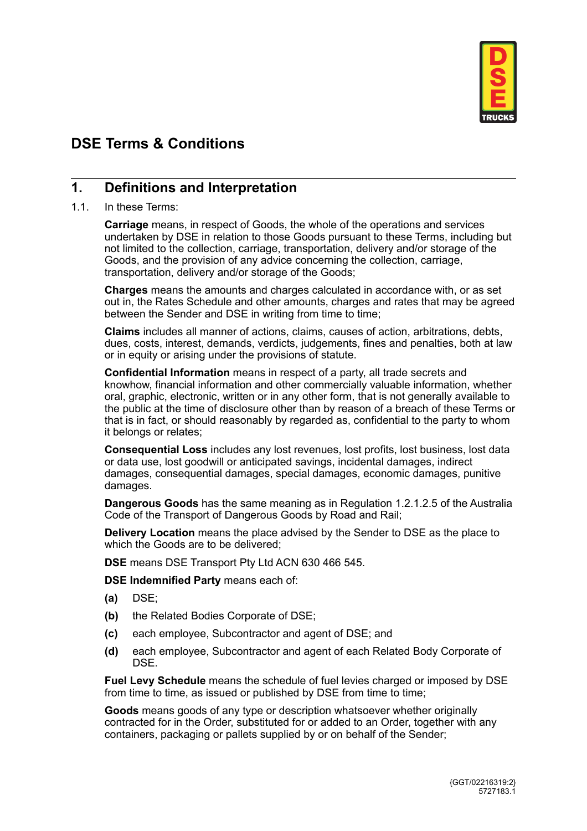

# **DSE Terms & Conditions**

## **1. Definitions and Interpretation**

#### 1.1. In these Terms:

**Carriage** means, in respect of Goods, the whole of the operations and services undertaken by DSE in relation to those Goods pursuant to these Terms, including but not limited to the collection, carriage, transportation, delivery and/or storage of the Goods, and the provision of any advice concerning the collection, carriage, transportation, delivery and/or storage of the Goods;

**Charges** means the amounts and charges calculated in accordance with, or as set out in, the Rates Schedule and other amounts, charges and rates that may be agreed between the Sender and DSE in writing from time to time;

**Claims** includes all manner of actions, claims, causes of action, arbitrations, debts, dues, costs, interest, demands, verdicts, judgements, fines and penalties, both at law or in equity or arising under the provisions of statute.

**Confidential Information** means in respect of a party, all trade secrets and knowhow, financial information and other commercially valuable information, whether oral, graphic, electronic, written or in any other form, that is not generally available to the public at the time of disclosure other than by reason of a breach of these Terms or that is in fact, or should reasonably by regarded as, confidential to the party to whom it belongs or relates;

**Consequential Loss** includes any lost revenues, lost profits, lost business, lost data or data use, lost goodwill or anticipated savings, incidental damages, indirect damages, consequential damages, special damages, economic damages, punitive damages.

**Dangerous Goods** has the same meaning as in Regulation 1.2.1.2.5 of the Australia Code of the Transport of Dangerous Goods by Road and Rail;

**Delivery Location** means the place advised by the Sender to DSE as the place to which the Goods are to be delivered;

**DSE** means DSE Transport Pty Ltd ACN 630 466 545.

**DSE Indemnified Party** means each of:

- **(a)** DSE;
- **(b)** the Related Bodies Corporate of DSE;
- **(c)** each employee, Subcontractor and agent of DSE; and
- **(d)** each employee, Subcontractor and agent of each Related Body Corporate of **DSE**

**Fuel Levy Schedule** means the schedule of fuel levies charged or imposed by DSE from time to time, as issued or published by DSE from time to time;

**Goods** means goods of any type or description whatsoever whether originally contracted for in the Order, substituted for or added to an Order, together with any containers, packaging or pallets supplied by or on behalf of the Sender;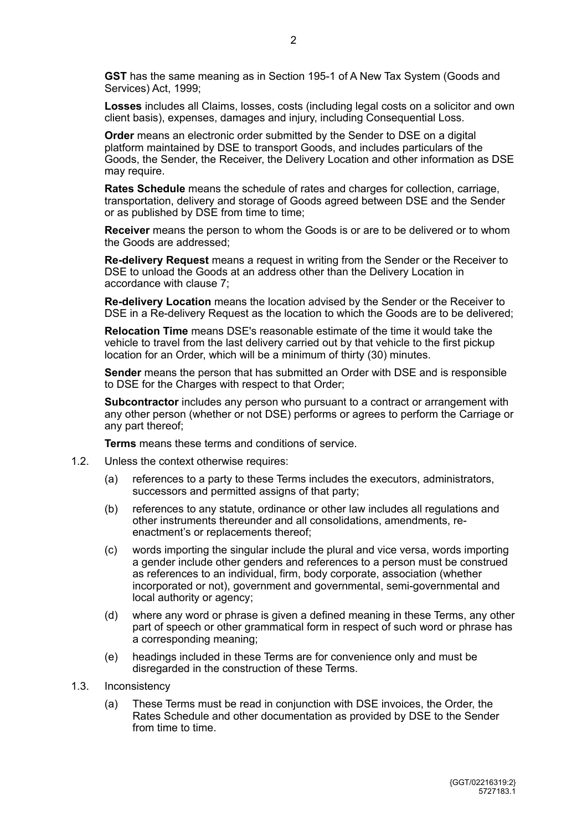**GST** has the same meaning as in Section 195-1 of A New Tax System (Goods and Services) Act, 1999;

**Losses** includes all Claims, losses, costs (including legal costs on a solicitor and own client basis), expenses, damages and injury, including Consequential Loss.

**Order** means an electronic order submitted by the Sender to DSE on a digital platform maintained by DSE to transport Goods, and includes particulars of the Goods, the Sender, the Receiver, the Delivery Location and other information as DSE may require.

**Rates Schedule** means the schedule of rates and charges for collection, carriage, transportation, delivery and storage of Goods agreed between DSE and the Sender or as published by DSE from time to time;

**Receiver** means the person to whom the Goods is or are to be delivered or to whom the Goods are addressed;

**Re-delivery Request** means a request in writing from the Sender or the Receiver to DSE to unload the Goods at an address other than the Delivery Location in accordance with clause 7;

**Re-delivery Location** means the location advised by the Sender or the Receiver to DSE in a Re-delivery Request as the location to which the Goods are to be delivered;

**Relocation Time** means DSE's reasonable estimate of the time it would take the vehicle to travel from the last delivery carried out by that vehicle to the first pickup location for an Order, which will be a minimum of thirty (30) minutes.

**Sender** means the person that has submitted an Order with DSE and is responsible to DSE for the Charges with respect to that Order;

**Subcontractor** includes any person who pursuant to a contract or arrangement with any other person (whether or not DSE) performs or agrees to perform the Carriage or any part thereof;

**Terms** means these terms and conditions of service.

- 1.2. Unless the context otherwise requires:
	- (a) references to a party to these Terms includes the executors, administrators, successors and permitted assigns of that party;
	- (b) references to any statute, ordinance or other law includes all regulations and other instruments thereunder and all consolidations, amendments, reenactment's or replacements thereof;
	- (c) words importing the singular include the plural and vice versa, words importing a gender include other genders and references to a person must be construed as references to an individual, firm, body corporate, association (whether incorporated or not), government and governmental, semi-governmental and local authority or agency;
	- (d) where any word or phrase is given a defined meaning in these Terms, any other part of speech or other grammatical form in respect of such word or phrase has a corresponding meaning;
	- (e) headings included in these Terms are for convenience only and must be disregarded in the construction of these Terms.
- 1.3. Inconsistency
	- (a) These Terms must be read in conjunction with DSE invoices, the Order, the Rates Schedule and other documentation as provided by DSE to the Sender from time to time.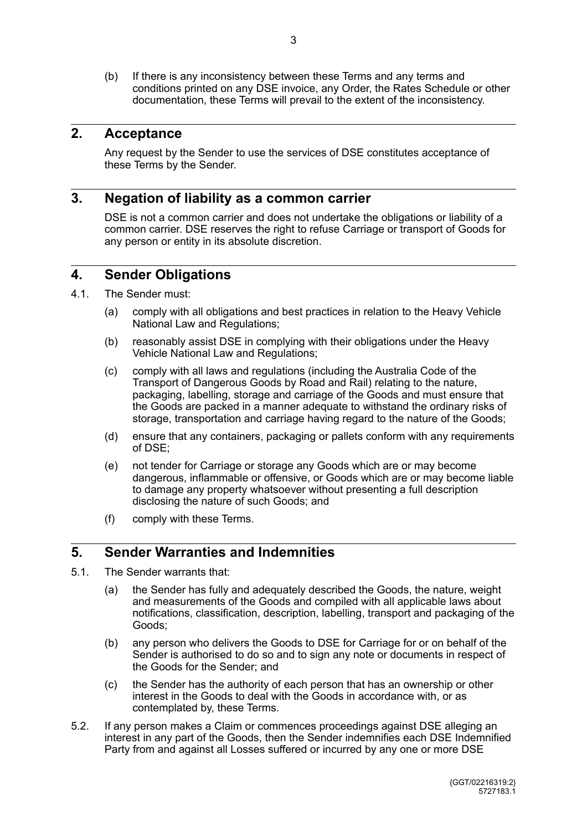(b) If there is any inconsistency between these Terms and any terms and conditions printed on any DSE invoice, any Order, the Rates Schedule or other documentation, these Terms will prevail to the extent of the inconsistency.

## **2. Acceptance**

Any request by the Sender to use the services of DSE constitutes acceptance of these Terms by the Sender.

#### **3. Negation of liability as a common carrier**

DSE is not a common carrier and does not undertake the obligations or liability of a common carrier. DSE reserves the right to refuse Carriage or transport of Goods for any person or entity in its absolute discretion.

#### **4. Sender Obligations**

- 4.1. The Sender must:
	- (a) comply with all obligations and best practices in relation to the Heavy Vehicle National Law and Regulations;
	- (b) reasonably assist DSE in complying with their obligations under the Heavy Vehicle National Law and Regulations;
	- (c) comply with all laws and regulations (including the Australia Code of the Transport of Dangerous Goods by Road and Rail) relating to the nature, packaging, labelling, storage and carriage of the Goods and must ensure that the Goods are packed in a manner adequate to withstand the ordinary risks of storage, transportation and carriage having regard to the nature of the Goods;
	- (d) ensure that any containers, packaging or pallets conform with any requirements of DSE;
	- (e) not tender for Carriage or storage any Goods which are or may become dangerous, inflammable or offensive, or Goods which are or may become liable to damage any property whatsoever without presenting a full description disclosing the nature of such Goods; and
	- (f) comply with these Terms.

## **5. Sender Warranties and Indemnities**

- 5.1. The Sender warrants that:
	- (a) the Sender has fully and adequately described the Goods, the nature, weight and measurements of the Goods and compiled with all applicable laws about notifications, classification, description, labelling, transport and packaging of the Goods;
	- (b) any person who delivers the Goods to DSE for Carriage for or on behalf of the Sender is authorised to do so and to sign any note or documents in respect of the Goods for the Sender; and
	- (c) the Sender has the authority of each person that has an ownership or other interest in the Goods to deal with the Goods in accordance with, or as contemplated by, these Terms.
- 5.2. If any person makes a Claim or commences proceedings against DSE alleging an interest in any part of the Goods, then the Sender indemnifies each DSE Indemnified Party from and against all Losses suffered or incurred by any one or more DSE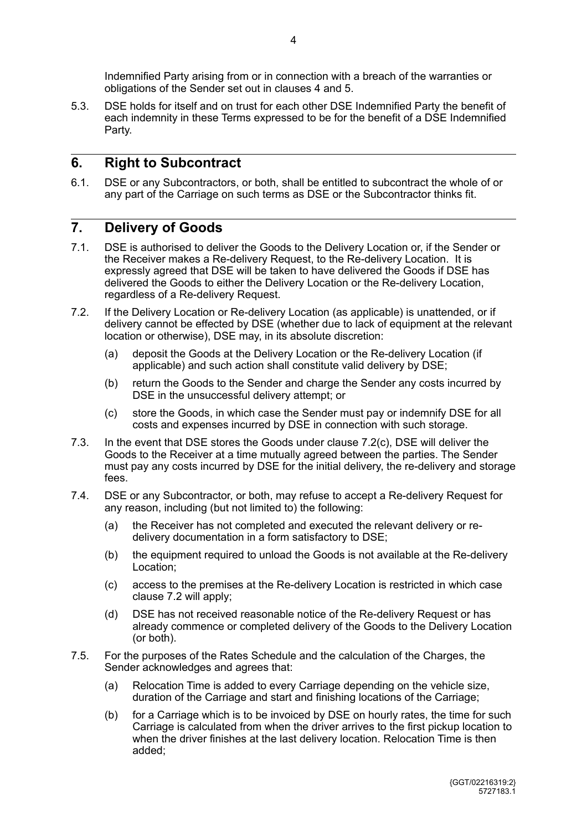5.3. DSE holds for itself and on trust for each other DSE Indemnified Party the benefit of each indemnity in these Terms expressed to be for the benefit of a DSE Indemnified Party.

## **6. Right to Subcontract**

6.1. DSE or any Subcontractors, or both, shall be entitled to subcontract the whole of or any part of the Carriage on such terms as DSE or the Subcontractor thinks fit.

## **7. Delivery of Goods**

- 7.1. DSE is authorised to deliver the Goods to the Delivery Location or, if the Sender or the Receiver makes a Re-delivery Request, to the Re-delivery Location. It is expressly agreed that DSE will be taken to have delivered the Goods if DSE has delivered the Goods to either the Delivery Location or the Re-delivery Location, regardless of a Re-delivery Request.
- 7.2. If the Delivery Location or Re-delivery Location (as applicable) is unattended, or if delivery cannot be effected by DSE (whether due to lack of equipment at the relevant location or otherwise), DSE may, in its absolute discretion:
	- (a) deposit the Goods at the Delivery Location or the Re-delivery Location (if applicable) and such action shall constitute valid delivery by DSE;
	- (b) return the Goods to the Sender and charge the Sender any costs incurred by DSE in the unsuccessful delivery attempt; or
	- (c) store the Goods, in which case the Sender must pay or indemnify DSE for all costs and expenses incurred by DSE in connection with such storage.
- 7.3. In the event that DSE stores the Goods under clause 7.2(c), DSE will deliver the Goods to the Receiver at a time mutually agreed between the parties. The Sender must pay any costs incurred by DSE for the initial delivery, the re-delivery and storage fees.
- 7.4. DSE or any Subcontractor, or both, may refuse to accept a Re-delivery Request for any reason, including (but not limited to) the following:
	- (a) the Receiver has not completed and executed the relevant delivery or redelivery documentation in a form satisfactory to DSE;
	- (b) the equipment required to unload the Goods is not available at the Re-delivery Location;
	- (c) access to the premises at the Re-delivery Location is restricted in which case clause 7.2 will apply;
	- (d) DSE has not received reasonable notice of the Re-delivery Request or has already commence or completed delivery of the Goods to the Delivery Location (or both).
- 7.5. For the purposes of the Rates Schedule and the calculation of the Charges, the Sender acknowledges and agrees that:
	- (a) Relocation Time is added to every Carriage depending on the vehicle size, duration of the Carriage and start and finishing locations of the Carriage;
	- (b) for a Carriage which is to be invoiced by DSE on hourly rates, the time for such Carriage is calculated from when the driver arrives to the first pickup location to when the driver finishes at the last delivery location. Relocation Time is then added;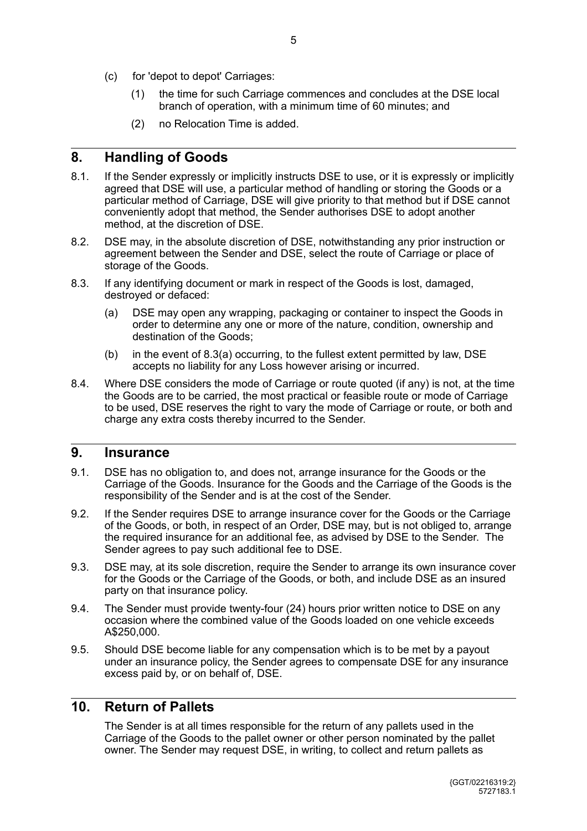- (c) for 'depot to depot' Carriages:
	- (1) the time for such Carriage commences and concludes at the DSE local branch of operation, with a minimum time of 60 minutes; and
	- (2) no Relocation Time is added.

## **8. Handling of Goods**

- 8.1. If the Sender expressly or implicitly instructs DSE to use, or it is expressly or implicitly agreed that DSE will use, a particular method of handling or storing the Goods or a particular method of Carriage, DSE will give priority to that method but if DSE cannot conveniently adopt that method, the Sender authorises DSE to adopt another method, at the discretion of DSE.
- 8.2. DSE may, in the absolute discretion of DSE, notwithstanding any prior instruction or agreement between the Sender and DSE, select the route of Carriage or place of storage of the Goods.
- 8.3. If any identifying document or mark in respect of the Goods is lost, damaged, destroyed or defaced:
	- (a) DSE may open any wrapping, packaging or container to inspect the Goods in order to determine any one or more of the nature, condition, ownership and destination of the Goods;
	- (b) in the event of 8.3(a) occurring, to the fullest extent permitted by law, DSE accepts no liability for any Loss however arising or incurred.
- 8.4. Where DSE considers the mode of Carriage or route quoted (if any) is not, at the time the Goods are to be carried, the most practical or feasible route or mode of Carriage to be used, DSE reserves the right to vary the mode of Carriage or route, or both and charge any extra costs thereby incurred to the Sender.

#### **9. Insurance**

- 9.1. DSE has no obligation to, and does not, arrange insurance for the Goods or the Carriage of the Goods. Insurance for the Goods and the Carriage of the Goods is the responsibility of the Sender and is at the cost of the Sender.
- 9.2. If the Sender requires DSE to arrange insurance cover for the Goods or the Carriage of the Goods, or both, in respect of an Order, DSE may, but is not obliged to, arrange the required insurance for an additional fee, as advised by DSE to the Sender. The Sender agrees to pay such additional fee to DSE.
- 9.3. DSE may, at its sole discretion, require the Sender to arrange its own insurance cover for the Goods or the Carriage of the Goods, or both, and include DSE as an insured party on that insurance policy.
- 9.4. The Sender must provide twenty-four (24) hours prior written notice to DSE on any occasion where the combined value of the Goods loaded on one vehicle exceeds A\$250,000.
- 9.5. Should DSE become liable for any compensation which is to be met by a payout under an insurance policy, the Sender agrees to compensate DSE for any insurance excess paid by, or on behalf of, DSE.

### **10. Return of Pallets**

The Sender is at all times responsible for the return of any pallets used in the Carriage of the Goods to the pallet owner or other person nominated by the pallet owner. The Sender may request DSE, in writing, to collect and return pallets as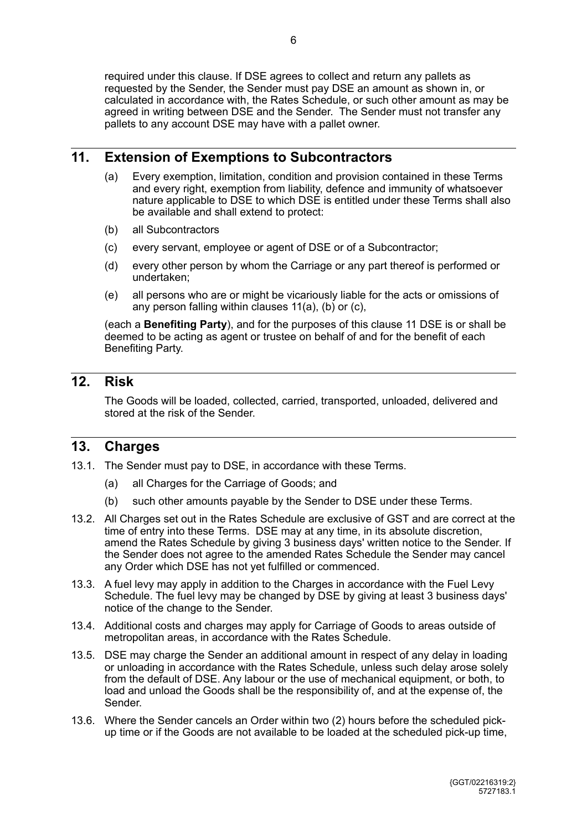required under this clause. If DSE agrees to collect and return any pallets as requested by the Sender, the Sender must pay DSE an amount as shown in, or calculated in accordance with, the Rates Schedule, or such other amount as may be agreed in writing between DSE and the Sender. The Sender must not transfer any pallets to any account DSE may have with a pallet owner.

#### **11. Extension of Exemptions to Subcontractors**

- <span id="page-5-3"></span>(a) Every exemption, limitation, condition and provision contained in these Terms and every right, exemption from liability, defence and immunity of whatsoever nature applicable to DSE to which DSE is entitled under these Terms shall also be available and shall extend to protect:
- <span id="page-5-0"></span>(b) all Subcontractors
- <span id="page-5-1"></span>(c) every servant, employee or agent of DSE or of a Subcontractor;
- <span id="page-5-2"></span>(d) every other person by whom the Carriage or any part thereof is performed or undertaken;
- (e) all persons who are or might be vicariously liable for the acts or omissions of any person falling within clauses [11\(a\)](#page-5-0), [\(b\)](#page-5-1) or [\(c\)](#page-5-2),

(each a **Benefiting Party**), and for the purposes of this clause [11](#page-5-3) DSE is or shall be deemed to be acting as agent or trustee on behalf of and for the benefit of each Benefiting Party.

## **12. Risk**

The Goods will be loaded, collected, carried, transported, unloaded, delivered and stored at the risk of the Sender.

#### **13. Charges**

- 13.1. The Sender must pay to DSE, in accordance with these Terms.
	- (a) all Charges for the Carriage of Goods; and
	- (b) such other amounts payable by the Sender to DSE under these Terms.
- 13.2. All Charges set out in the Rates Schedule are exclusive of GST and are correct at the time of entry into these Terms. DSE may at any time, in its absolute discretion, amend the Rates Schedule by giving 3 business days' written notice to the Sender. If the Sender does not agree to the amended Rates Schedule the Sender may cancel any Order which DSE has not yet fulfilled or commenced.
- 13.3. A fuel levy may apply in addition to the Charges in accordance with the Fuel Levy Schedule. The fuel levy may be changed by DSE by giving at least 3 business days' notice of the change to the Sender.
- 13.4. Additional costs and charges may apply for Carriage of Goods to areas outside of metropolitan areas, in accordance with the Rates Schedule.
- 13.5. DSE may charge the Sender an additional amount in respect of any delay in loading or unloading in accordance with the Rates Schedule, unless such delay arose solely from the default of DSE. Any labour or the use of mechanical equipment, or both, to load and unload the Goods shall be the responsibility of, and at the expense of, the Sender.
- 13.6. Where the Sender cancels an Order within two (2) hours before the scheduled pickup time or if the Goods are not available to be loaded at the scheduled pick-up time,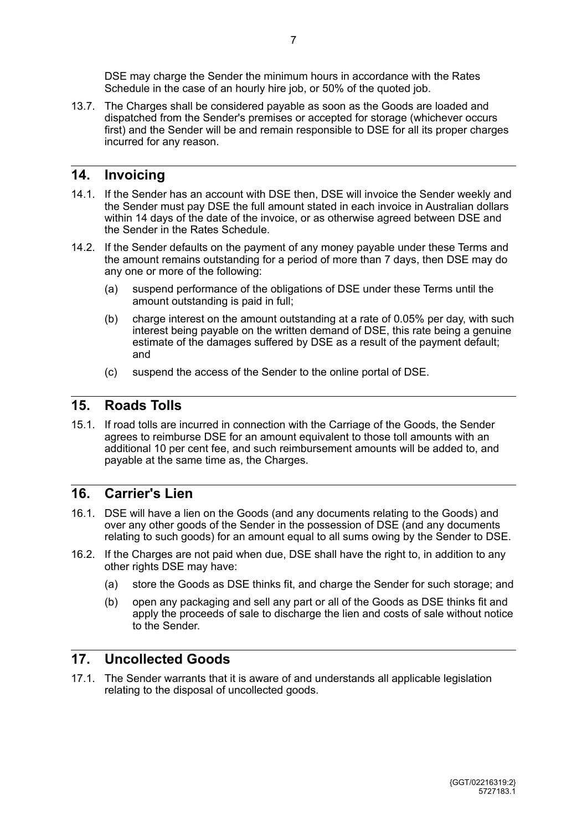DSE may charge the Sender the minimum hours in accordance with the Rates Schedule in the case of an hourly hire job, or 50% of the quoted job.

13.7. The Charges shall be considered payable as soon as the Goods are loaded and dispatched from the Sender's premises or accepted for storage (whichever occurs first) and the Sender will be and remain responsible to DSE for all its proper charges incurred for any reason.

#### **14. Invoicing**

- 14.1. If the Sender has an account with DSE then, DSE will invoice the Sender weekly and the Sender must pay DSE the full amount stated in each invoice in Australian dollars within 14 days of the date of the invoice, or as otherwise agreed between DSE and the Sender in the Rates Schedule.
- 14.2. If the Sender defaults on the payment of any money payable under these Terms and the amount remains outstanding for a period of more than 7 days, then DSE may do any one or more of the following:
	- (a) suspend performance of the obligations of DSE under these Terms until the amount outstanding is paid in full;
	- (b) charge interest on the amount outstanding at a rate of 0.05% per day, with such interest being payable on the written demand of DSE, this rate being a genuine estimate of the damages suffered by DSE as a result of the payment default; and
	- (c) suspend the access of the Sender to the online portal of DSE.

### **15. Roads Tolls**

15.1. If road tolls are incurred in connection with the Carriage of the Goods, the Sender agrees to reimburse DSE for an amount equivalent to those toll amounts with an additional 10 per cent fee, and such reimbursement amounts will be added to, and payable at the same time as, the Charges.

#### **16. Carrier's Lien**

- 16.1. DSE will have a lien on the Goods (and any documents relating to the Goods) and over any other goods of the Sender in the possession of DSE (and any documents relating to such goods) for an amount equal to all sums owing by the Sender to DSE.
- 16.2. If the Charges are not paid when due, DSE shall have the right to, in addition to any other rights DSE may have:
	- (a) store the Goods as DSE thinks fit, and charge the Sender for such storage; and
	- (b) open any packaging and sell any part or all of the Goods as DSE thinks fit and apply the proceeds of sale to discharge the lien and costs of sale without notice to the Sender.

#### **17. Uncollected Goods**

17.1. The Sender warrants that it is aware of and understands all applicable legislation relating to the disposal of uncollected goods.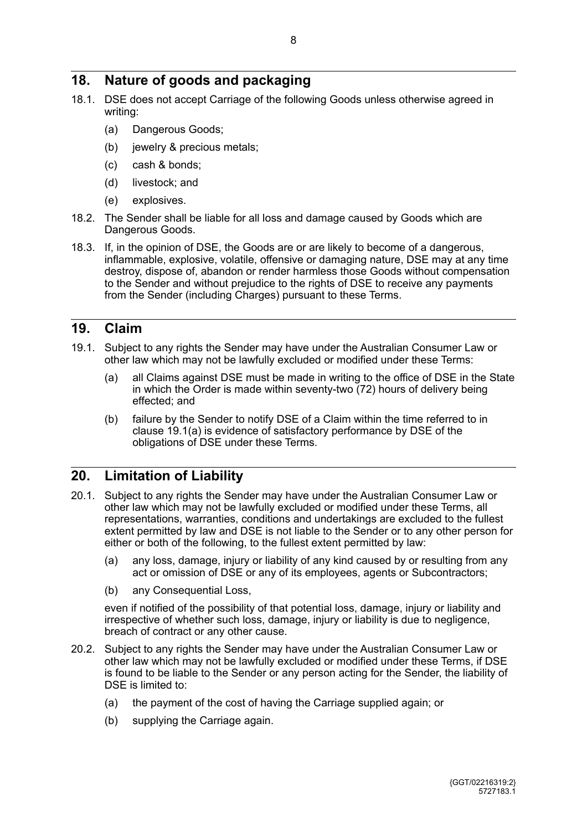## **18. Nature of goods and packaging**

- 18.1. DSE does not accept Carriage of the following Goods unless otherwise agreed in writing:
	- (a) Dangerous Goods;
	- (b) jewelry & precious metals;
	- (c) cash & bonds;
	- (d) livestock; and
	- (e) explosives.
- 18.2. The Sender shall be liable for all loss and damage caused by Goods which are Dangerous Goods.
- 18.3. If, in the opinion of DSE, the Goods are or are likely to become of a dangerous, inflammable, explosive, volatile, offensive or damaging nature, DSE may at any time destroy, dispose of, abandon or render harmless those Goods without compensation to the Sender and without prejudice to the rights of DSE to receive any payments from the Sender (including Charges) pursuant to these Terms.

#### **19. Claim**

- <span id="page-7-0"></span>19.1. Subject to any rights the Sender may have under the Australian Consumer Law or other law which may not be lawfully excluded or modified under these Terms:
	- (a) all Claims against DSE must be made in writing to the office of DSE in the State in which the Order is made within seventy-two (72) hours of delivery being effected; and
	- (b) failure by the Sender to notify DSE of a Claim within the time referred to in clause [19.1\(a\)](#page-7-0) is evidence of satisfactory performance by DSE of the obligations of DSE under these Terms.

#### **20. Limitation of Liability**

- 20.1. Subject to any rights the Sender may have under the Australian Consumer Law or other law which may not be lawfully excluded or modified under these Terms, all representations, warranties, conditions and undertakings are excluded to the fullest extent permitted by law and DSE is not liable to the Sender or to any other person for either or both of the following, to the fullest extent permitted by law:
	- (a) any loss, damage, injury or liability of any kind caused by or resulting from any act or omission of DSE or any of its employees, agents or Subcontractors;
	- (b) any Consequential Loss,

even if notified of the possibility of that potential loss, damage, injury or liability and irrespective of whether such loss, damage, injury or liability is due to negligence, breach of contract or any other cause.

- 20.2. Subject to any rights the Sender may have under the Australian Consumer Law or other law which may not be lawfully excluded or modified under these Terms, if DSE is found to be liable to the Sender or any person acting for the Sender, the liability of DSE is limited to:
	- (a) the payment of the cost of having the Carriage supplied again; or
	- (b) supplying the Carriage again.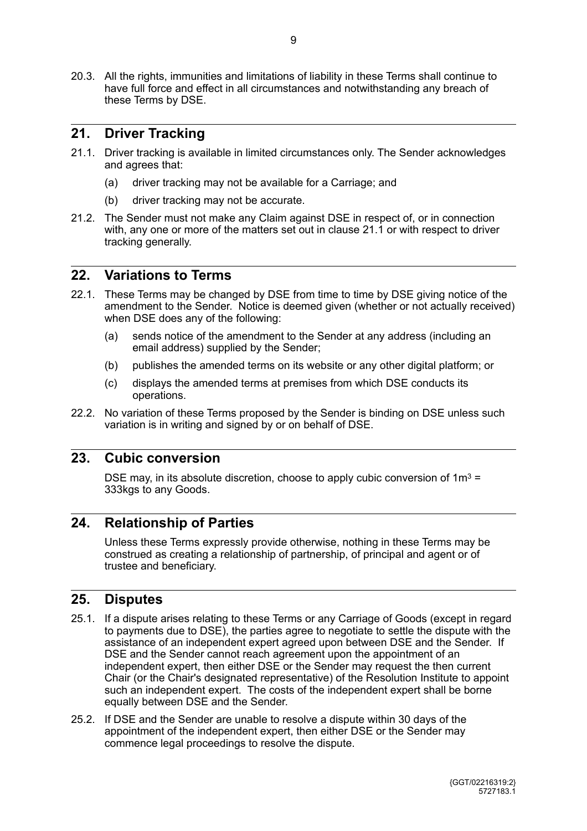20.3. All the rights, immunities and limitations of liability in these Terms shall continue to have full force and effect in all circumstances and notwithstanding any breach of these Terms by DSE.

#### **21. Driver Tracking**

- <span id="page-8-0"></span>21.1. Driver tracking is available in limited circumstances only. The Sender acknowledges and agrees that:
	- (a) driver tracking may not be available for a Carriage; and
	- (b) driver tracking may not be accurate.
- 21.2. The Sender must not make any Claim against DSE in respect of, or in connection with, any one or more of the matters set out in clause [21.1](#page-8-0) or with respect to driver tracking generally.

#### **22. Variations to Terms**

- 22.1. These Terms may be changed by DSE from time to time by DSE giving notice of the amendment to the Sender. Notice is deemed given (whether or not actually received) when DSE does any of the following:
	- (a) sends notice of the amendment to the Sender at any address (including an email address) supplied by the Sender;
	- (b) publishes the amended terms on its website or any other digital platform; or
	- (c) displays the amended terms at premises from which DSE conducts its operations.
- 22.2. No variation of these Terms proposed by the Sender is binding on DSE unless such variation is in writing and signed by or on behalf of DSE.

#### **23. Cubic conversion**

DSE may, in its absolute discretion, choose to apply cubic conversion of  $1m^3 =$ 333kgs to any Goods.

#### **24. Relationship of Parties**

Unless these Terms expressly provide otherwise, nothing in these Terms may be construed as creating a relationship of partnership, of principal and agent or of trustee and beneficiary.

#### <span id="page-8-1"></span>**25. Disputes**

- 25.1. If a dispute arises relating to these Terms or any Carriage of Goods (except in regard to payments due to DSE), the parties agree to negotiate to settle the dispute with the assistance of an independent expert agreed upon between DSE and the Sender. If DSE and the Sender cannot reach agreement upon the appointment of an independent expert, then either DSE or the Sender may request the then current Chair (or the Chair's designated representative) of the Resolution Institute to appoint such an independent expert. The costs of the independent expert shall be borne equally between DSE and the Sender.
- 25.2. If DSE and the Sender are unable to resolve a dispute within 30 days of the appointment of the independent expert, then either DSE or the Sender may commence legal proceedings to resolve the dispute.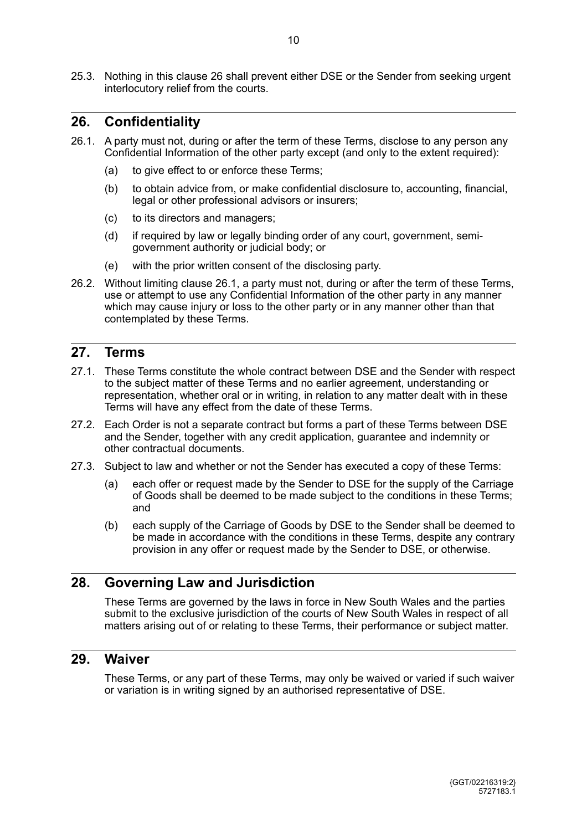25.3. Nothing in this clause [26](#page-8-1) shall prevent either DSE or the Sender from seeking urgent interlocutory relief from the courts.

### **26. Confidentiality**

- <span id="page-9-0"></span>26.1. A party must not, during or after the term of these Terms, disclose to any person any Confidential Information of the other party except (and only to the extent required):
	- (a) to give effect to or enforce these Terms;
	- (b) to obtain advice from, or make confidential disclosure to, accounting, financial, legal or other professional advisors or insurers;
	- (c) to its directors and managers;
	- (d) if required by law or legally binding order of any court, government, semigovernment authority or judicial body; or
	- (e) with the prior written consent of the disclosing party.
- 26.2. Without limiting clause [26.1,](#page-9-0) a party must not, during or after the term of these Terms, use or attempt to use any Confidential Information of the other party in any manner which may cause injury or loss to the other party or in any manner other than that contemplated by these Terms.

#### **27. Terms**

- 27.1. These Terms constitute the whole contract between DSE and the Sender with respect to the subject matter of these Terms and no earlier agreement, understanding or representation, whether oral or in writing, in relation to any matter dealt with in these Terms will have any effect from the date of these Terms.
- 27.2. Each Order is not a separate contract but forms a part of these Terms between DSE and the Sender, together with any credit application, guarantee and indemnity or other contractual documents.
- 27.3. Subject to law and whether or not the Sender has executed a copy of these Terms:
	- (a) each offer or request made by the Sender to DSE for the supply of the Carriage of Goods shall be deemed to be made subject to the conditions in these Terms; and
	- (b) each supply of the Carriage of Goods by DSE to the Sender shall be deemed to be made in accordance with the conditions in these Terms, despite any contrary provision in any offer or request made by the Sender to DSE, or otherwise.

#### **28. Governing Law and Jurisdiction**

These Terms are governed by the laws in force in New South Wales and the parties submit to the exclusive jurisdiction of the courts of New South Wales in respect of all matters arising out of or relating to these Terms, their performance or subject matter.

#### **29. Waiver**

These Terms, or any part of these Terms, may only be waived or varied if such waiver or variation is in writing signed by an authorised representative of DSE.